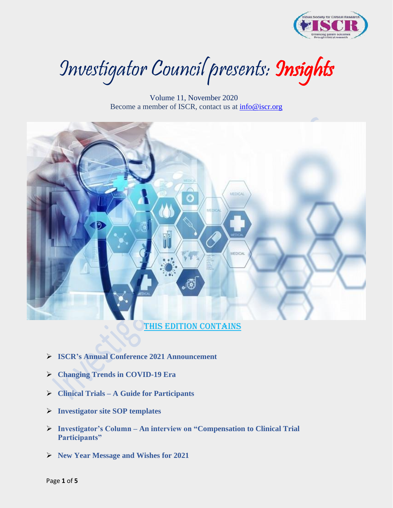

Investigator Council presents: Insights

 Volume 11, November 2020 Become a member of ISCR, contact us at [info@iscr.org](mailto:info@iscr.org) 



- ➢ **ISCR's Annual Conference 2021 Announcement**
- ➢ **Changing Trends in COVID-19 Era**
- ➢ **Clinical Trials – A Guide for Participants**
- ➢ **Investigator site SOP templates**
- ➢ **Investigator's Column – An interview on "Compensation to Clinical Trial Participants"**
- ➢ **New Year Message and Wishes for 2021**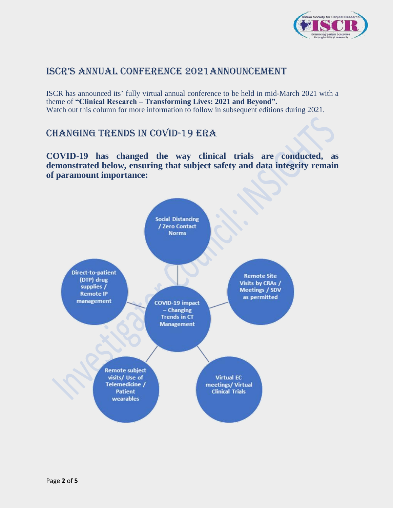

## ISCR's Annual Conference 2021Announcement

ISCR has announced its' fully virtual annual conference to be held in mid-March 2021 with a theme of **"Clinical Research – Transforming Lives: 2021 and Beyond".** Watch out this column for more information to follow in subsequent editions during 2021.

# CHANGING TRENDS IN COVID-19 ERA

**COVID-19 has changed the way clinical trials are conducted, as demonstrated below, ensuring that subject safety and data integrity remain of paramount importance:**

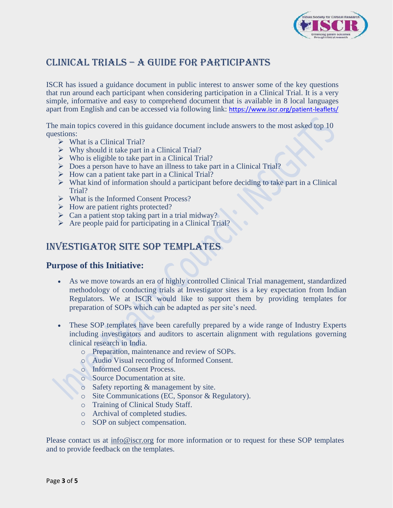

# Clinical Trials – A Guide for Participants

ISCR has issued a guidance document in public interest to answer some of the key questions that run around each participant when considering participation in a Clinical Trial. It is a very simple, informative and easy to comprehend document that is available in 8 local languages apart from English and can be accessed via following link: <https://www.iscr.org/patient-leaflets/>

The main topics covered in this guidance document include answers to the most asked top 10 questions:

- $\triangleright$  What is a Clinical Trial?
- $\triangleright$  Why should it take part in a Clinical Trial?
- $\triangleright$  Who is eligible to take part in a Clinical Trial?
- ➢ Does a person have to have an illness to take part in a Clinical Trial?
- $\triangleright$  How can a patient take part in a Clinical Trial?
- ➢ What kind of information should a participant before deciding to take part in a Clinical Trial?
- ➢ What is the Informed Consent Process?
- ➢ How are patient rights protected?
- $\triangleright$  Can a patient stop taking part in a trial midway?
- ➢ Are people paid for participating in a Clinical Trial?

## INVESTIGATOR SITE SOP TEMPLATES

## **Purpose of this Initiative:**

- As we move towards an era of highly controlled Clinical Trial management, standardized methodology of conducting trials at Investigator sites is a key expectation from Indian Regulators. We at ISCR would like to support them by providing templates for preparation of SOPs which can be adapted as per site's need.
- These SOP templates have been carefully prepared by a wide range of Industry Experts including investigators and auditors to ascertain alignment with regulations governing clinical research in India.
	- o Preparation, maintenance and review of SOPs.
	- o Audio Visual recording of Informed Consent.
	- o Informed Consent Process.
	- o Source Documentation at site.
	- o Safety reporting & management by site.
	- o Site Communications (EC, Sponsor & Regulatory).
	- o Training of Clinical Study Staff.
	- o Archival of completed studies.
	- o SOP on subject compensation.

Please contact us at [info@iscr.org](mailto:info@iscr.org) for more information or to request for these SOP templates and to provide feedback on the templates.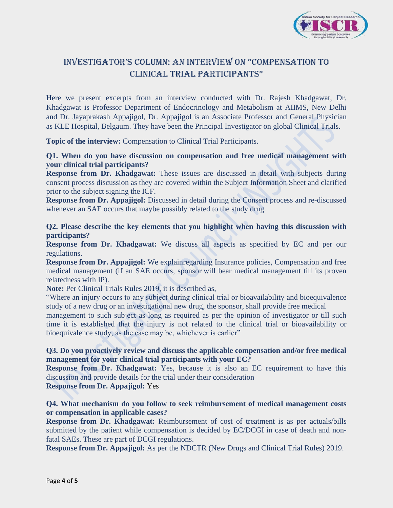

## InvestigatoR's Column: An Interview on "Compensation to Clinical Trial Participants"

Here we present excerpts from an interview conducted with Dr. Rajesh Khadgawat, Dr. Khadgawat is Professor Department of Endocrinology and Metabolism at AIIMS, New Delhi and Dr. Jayaprakash Appajigol, Dr. Appajigol is an Associate Professor and General Physician as KLE Hospital, Belgaum. They have been the Principal Investigator on global Clinical Trials.

**Topic of the interview:** Compensation to Clinical Trial Participants.

### **Q1. When do you have discussion on compensation and free medical management with your clinical trial participants?**

**Response from Dr. Khadgawat:** These issues are discussed in detail with subjects during consent process discussion as they are covered within the Subject Information Sheet and clarified prior to the subject signing the ICF.

**Response from Dr. Appajigol:** Discussed in detail during the Consent process and re-discussed whenever an SAE occurs that maybe possibly related to the study drug.

### **Q2. Please describe the key elements that you highlight when having this discussion with participants?**

**Response from Dr. Khadgawat:** We discuss all aspects as specified by EC and per our regulations.

**Response from Dr. Appajigol:** We explainregarding Insurance policies, Compensation and free medical management (if an SAE occurs, sponsor will bear medical management till its proven relatedness with IP).

**Note:** Per Clinical Trials Rules 2019, it is described as,

"Where an injury occurs to any subject during clinical trial or bioavailability and bioequivalence study of a new drug or an investigational new drug, the sponsor, shall provide free medical

management to such subject as long as required as per the opinion of investigator or till such time it is established that the injury is not related to the clinical trial or bioavailability or bioequivalence study, as the case may be, whichever is earlier"

#### **Q3. Do you proactively review and discuss the applicable compensation and/or free medical management for your clinical trial participants with your EC?**

**Response from Dr. Khadgawat:** Yes, because it is also an EC requirement to have this discussion and provide details for the trial under their consideration

**Response from Dr. Appajigol:** Yes

## **Q4. What mechanism do you follow to seek reimbursement of medical management costs or compensation in applicable cases?**

**Response from Dr. Khadgawat:** Reimbursement of cost of treatment is as per actuals/bills submitted by the patient while compensation is decided by EC/DCGI in case of death and nonfatal SAEs. These are part of DCGI regulations.

**Response from Dr. Appajigol:** As per the NDCTR (New Drugs and Clinical Trial Rules) 2019.